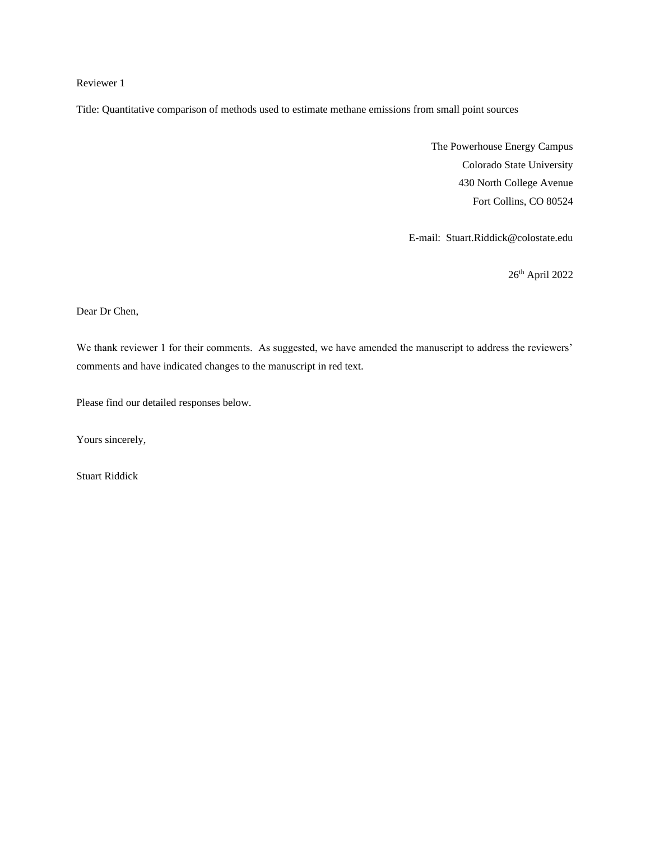# Reviewer 1

Title: Quantitative comparison of methods used to estimate methane emissions from small point sources

The Powerhouse Energy Campus Colorado State University 430 North College Avenue Fort Collins, CO 80524

E-mail: Stuart.Riddick@colostate.edu

26th April 2022

Dear Dr Chen,

We thank reviewer 1 for their comments. As suggested, we have amended the manuscript to address the reviewers' comments and have indicated changes to the manuscript in red text.

Please find our detailed responses below.

Yours sincerely,

Stuart Riddick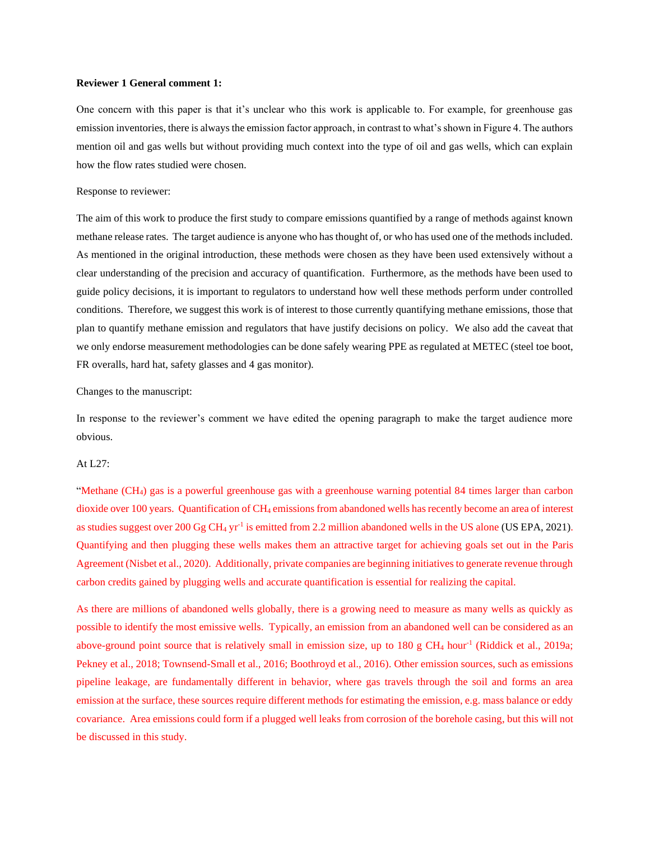### **Reviewer 1 General comment 1:**

One concern with this paper is that it's unclear who this work is applicable to. For example, for greenhouse gas emission inventories, there is always the emission factor approach, in contrast to what's shown in Figure 4. The authors mention oil and gas wells but without providing much context into the type of oil and gas wells, which can explain how the flow rates studied were chosen.

#### Response to reviewer:

The aim of this work to produce the first study to compare emissions quantified by a range of methods against known methane release rates. The target audience is anyone who has thought of, or who has used one of the methods included. As mentioned in the original introduction, these methods were chosen as they have been used extensively without a clear understanding of the precision and accuracy of quantification. Furthermore, as the methods have been used to guide policy decisions, it is important to regulators to understand how well these methods perform under controlled conditions. Therefore, we suggest this work is of interest to those currently quantifying methane emissions, those that plan to quantify methane emission and regulators that have justify decisions on policy. We also add the caveat that we only endorse measurement methodologies can be done safely wearing PPE as regulated at METEC (steel toe boot, FR overalls, hard hat, safety glasses and 4 gas monitor).

### Changes to the manuscript:

In response to the reviewer's comment we have edited the opening paragraph to make the target audience more obvious.

# At L27:

"Methane (CH4) gas is a powerful greenhouse gas with a greenhouse warning potential 84 times larger than carbon dioxide over 100 years. Quantification of CH<sup>4</sup> emissions from abandoned wells has recently become an area of interest as studies suggest over  $200 \text{ Gg } CH_4 \text{ yr}^{-1}$  is emitted from 2.2 million abandoned wells in the US alone (US EPA, 2021). Quantifying and then plugging these wells makes them an attractive target for achieving goals set out in the Paris Agreement (Nisbet et al., 2020). Additionally, private companies are beginning initiatives to generate revenue through carbon credits gained by plugging wells and accurate quantification is essential for realizing the capital.

As there are millions of abandoned wells globally, there is a growing need to measure as many wells as quickly as possible to identify the most emissive wells. Typically, an emission from an abandoned well can be considered as an above-ground point source that is relatively small in emission size, up to 180 g CH<sub>4</sub> hour<sup>-1</sup> (Riddick et al., 2019a; Pekney et al., 2018; Townsend-Small et al., 2016; Boothroyd et al., 2016). Other emission sources, such as emissions pipeline leakage, are fundamentally different in behavior, where gas travels through the soil and forms an area emission at the surface, these sources require different methods for estimating the emission, e.g. mass balance or eddy covariance. Area emissions could form if a plugged well leaks from corrosion of the borehole casing, but this will not be discussed in this study.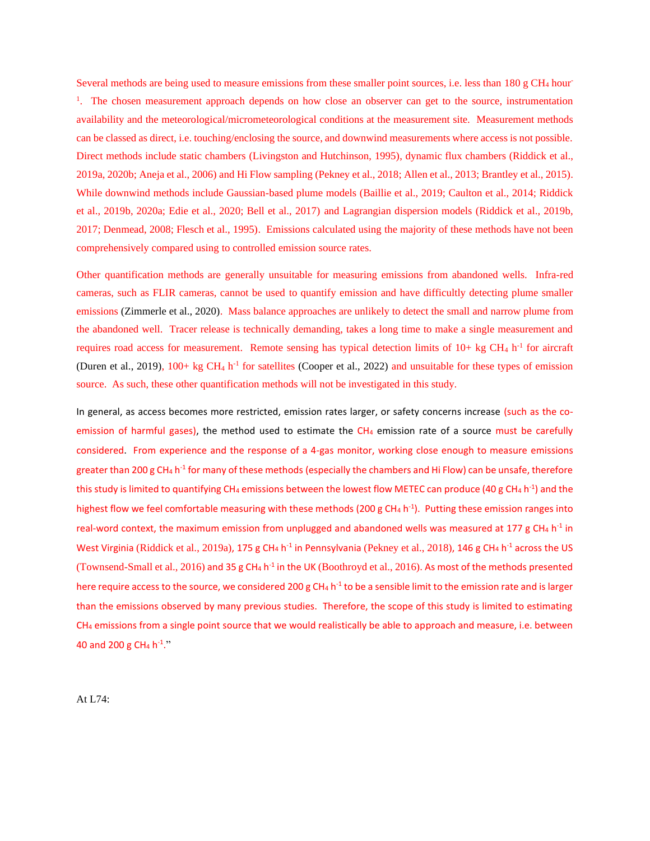Several methods are being used to measure emissions from these smaller point sources, i.e. less than 180 g CH<sub>4</sub> hour-<sup>1</sup>. The chosen measurement approach depends on how close an observer can get to the source, instrumentation availability and the meteorological/micrometeorological conditions at the measurement site. Measurement methods can be classed as direct, i.e. touching/enclosing the source, and downwind measurements where access is not possible. Direct methods include static chambers (Livingston and Hutchinson, 1995), dynamic flux chambers (Riddick et al., 2019a, 2020b; Aneja et al., 2006) and Hi Flow sampling (Pekney et al., 2018; Allen et al., 2013; Brantley et al., 2015). While downwind methods include Gaussian-based plume models (Baillie et al., 2019; Caulton et al., 2014; Riddick et al., 2019b, 2020a; Edie et al., 2020; Bell et al., 2017) and Lagrangian dispersion models (Riddick et al., 2019b, 2017; Denmead, 2008; Flesch et al., 1995). Emissions calculated using the majority of these methods have not been comprehensively compared using to controlled emission source rates.

Other quantification methods are generally unsuitable for measuring emissions from abandoned wells. Infra-red cameras, such as FLIR cameras, cannot be used to quantify emission and have difficultly detecting plume smaller emissions (Zimmerle et al., 2020). Mass balance approaches are unlikely to detect the small and narrow plume from the abandoned well. Tracer release is technically demanding, takes a long time to make a single measurement and requires road access for measurement. Remote sensing has typical detection limits of  $10+$  kg CH<sub>4</sub> h<sup>-1</sup> for aircraft (Duren et al., 2019), 100+ kg CH<sub>4</sub> h<sup>-1</sup> for satellites (Cooper et al., 2022) and unsuitable for these types of emission source. As such, these other quantification methods will not be investigated in this study.

In general, as access becomes more restricted, emission rates larger, or safety concerns increase (such as the coemission of harmful gases), the method used to estimate the  $CH_4$  emission rate of a source must be carefully considered. From experience and the response of a 4-gas monitor, working close enough to measure emissions greater than 200 g CH<sub>4</sub> h<sup>-1</sup> for many of these methods (especially the chambers and Hi Flow) can be unsafe, therefore this study is limited to quantifying CH<sub>4</sub> emissions between the lowest flow METEC can produce (40 g CH<sub>4</sub> h<sup>-1</sup>) and the highest flow we feel comfortable measuring with these methods (200 g CH<sub>4</sub> h<sup>-1</sup>). Putting these emission ranges into real-word context, the maximum emission from unplugged and abandoned wells was measured at 177 g CH<sub>4</sub> h<sup>-1</sup> in West Virginia (Riddick et al., 2019a), 175 g CH<sub>4</sub> h<sup>-1</sup> in Pennsylvania (Pekney et al., 2018), 146 g CH<sub>4</sub> h<sup>-1</sup> across the US (Townsend-Small et al., 2016) and 35 g CH<sub>4</sub> h<sup>-1</sup> in the UK (Boothroyd et al., 2016). As most of the methods presented here require access to the source, we considered 200 g CH<sub>4</sub> h<sup>-1</sup> to be a sensible limit to the emission rate and is larger than the emissions observed by many previous studies. Therefore, the scope of this study is limited to estimating CH<sup>4</sup> emissions from a single point source that we would realistically be able to approach and measure, i.e. between 40 and 200 g CH<sub>4</sub> h<sup>-1</sup>."

At L74: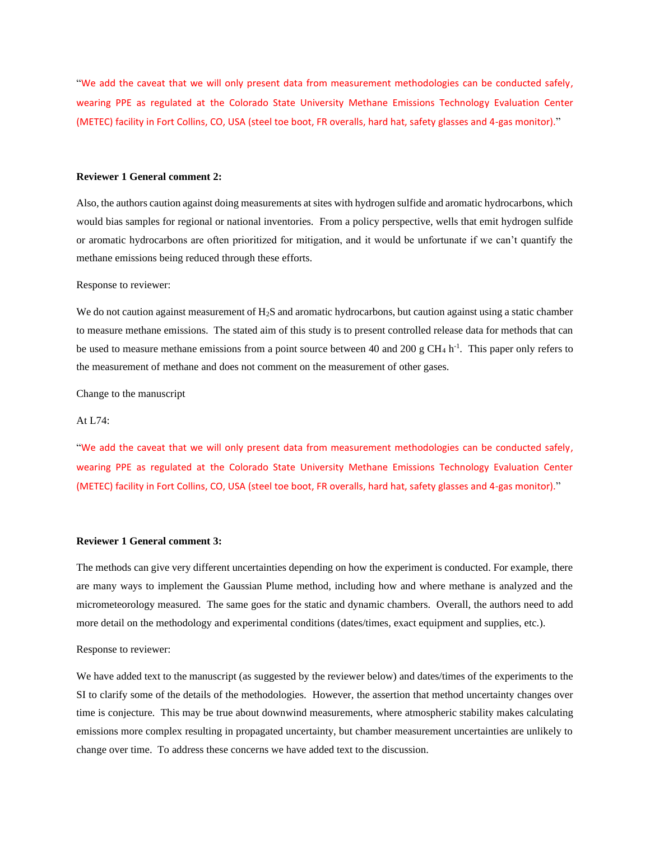"We add the caveat that we will only present data from measurement methodologies can be conducted safely, wearing PPE as regulated at the Colorado State University Methane Emissions Technology Evaluation Center (METEC) facility in Fort Collins, CO, USA (steel toe boot, FR overalls, hard hat, safety glasses and 4-gas monitor)."

#### **Reviewer 1 General comment 2:**

Also, the authors caution against doing measurements at sites with hydrogen sulfide and aromatic hydrocarbons, which would bias samples for regional or national inventories. From a policy perspective, wells that emit hydrogen sulfide or aromatic hydrocarbons are often prioritized for mitigation, and it would be unfortunate if we can't quantify the methane emissions being reduced through these efforts.

### Response to reviewer:

We do not caution against measurement of H<sub>2</sub>S and aromatic hydrocarbons, but caution against using a static chamber to measure methane emissions. The stated aim of this study is to present controlled release data for methods that can be used to measure methane emissions from a point source between 40 and 200 g  $CH_4$  h<sup>-1</sup>. This paper only refers to the measurement of methane and does not comment on the measurement of other gases.

Change to the manuscript

### At L74:

"We add the caveat that we will only present data from measurement methodologies can be conducted safely, wearing PPE as regulated at the Colorado State University Methane Emissions Technology Evaluation Center (METEC) facility in Fort Collins, CO, USA (steel toe boot, FR overalls, hard hat, safety glasses and 4-gas monitor)."

### **Reviewer 1 General comment 3:**

The methods can give very different uncertainties depending on how the experiment is conducted. For example, there are many ways to implement the Gaussian Plume method, including how and where methane is analyzed and the micrometeorology measured. The same goes for the static and dynamic chambers. Overall, the authors need to add more detail on the methodology and experimental conditions (dates/times, exact equipment and supplies, etc.).

#### Response to reviewer:

We have added text to the manuscript (as suggested by the reviewer below) and dates/times of the experiments to the SI to clarify some of the details of the methodologies. However, the assertion that method uncertainty changes over time is conjecture. This may be true about downwind measurements, where atmospheric stability makes calculating emissions more complex resulting in propagated uncertainty, but chamber measurement uncertainties are unlikely to change over time. To address these concerns we have added text to the discussion.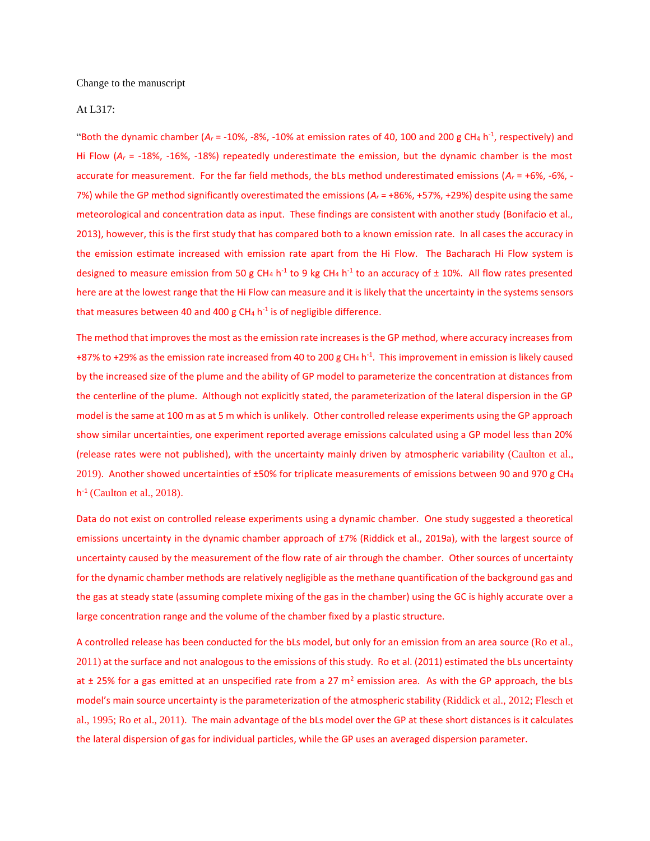Change to the manuscript

## At L317:

"Both the dynamic chamber ( $A_r$  = -10%, -8%, -10% at emission rates of 40, 100 and 200 g CH<sub>4</sub> h<sup>-1</sup>, respectively) and Hi Flow (*A<sup>r</sup>* = -18%, -16%, -18%) repeatedly underestimate the emission, but the dynamic chamber is the most accurate for measurement. For the far field methods, the bLs method underestimated emissions (*A<sup>r</sup>* = +6%, -6%, - 7%) while the GP method significantly overestimated the emissions ( $A<sub>r</sub>$  = +86%, +57%, +29%) despite using the same meteorological and concentration data as input. These findings are consistent with another study (Bonifacio et al., 2013), however, this is the first study that has compared both to a known emission rate. In all cases the accuracy in the emission estimate increased with emission rate apart from the Hi Flow. The Bacharach Hi Flow system is designed to measure emission from 50 g CH<sub>4</sub> h<sup>-1</sup> to 9 kg CH<sub>4</sub> h<sup>-1</sup> to an accuracy of  $\pm$  10%. All flow rates presented here are at the lowest range that the Hi Flow can measure and it is likely that the uncertainty in the systems sensors that measures between 40 and 400 g CH<sub>4</sub> h<sup>-1</sup> is of negligible difference.

The method that improves the most as the emission rate increases is the GP method, where accuracy increases from +87% to +29% as the emission rate increased from 40 to 200 g CH<sub>4</sub> h<sup>-1</sup>. This improvement in emission is likely caused by the increased size of the plume and the ability of GP model to parameterize the concentration at distances from the centerline of the plume. Although not explicitly stated, the parameterization of the lateral dispersion in the GP model is the same at 100 m as at 5 m which is unlikely. Other controlled release experiments using the GP approach show similar uncertainties, one experiment reported average emissions calculated using a GP model less than 20% (release rates were not published), with the uncertainty mainly driven by atmospheric variability (Caulton et al., 2019). Another showed uncertainties of ±50% for triplicate measurements of emissions between 90 and 970 g CH<sup>4</sup> h -1 (Caulton et al., 2018).

Data do not exist on controlled release experiments using a dynamic chamber. One study suggested a theoretical emissions uncertainty in the dynamic chamber approach of ±7% (Riddick et al., 2019a), with the largest source of uncertainty caused by the measurement of the flow rate of air through the chamber. Other sources of uncertainty for the dynamic chamber methods are relatively negligible as the methane quantification of the background gas and the gas at steady state (assuming complete mixing of the gas in the chamber) using the GC is highly accurate over a large concentration range and the volume of the chamber fixed by a plastic structure.

A controlled release has been conducted for the bLs model, but only for an emission from an area source (Ro et al., 2011) at the surface and not analogous to the emissions of this study. Ro et al. (2011) estimated the bLs uncertainty at  $\pm$  25% for a gas emitted at an unspecified rate from a 27 m<sup>2</sup> emission area. As with the GP approach, the bLs model's main source uncertainty is the parameterization of the atmospheric stability (Riddick et al., 2012; Flesch et al., 1995; Ro et al., 2011). The main advantage of the bLs model over the GP at these short distances is it calculates the lateral dispersion of gas for individual particles, while the GP uses an averaged dispersion parameter.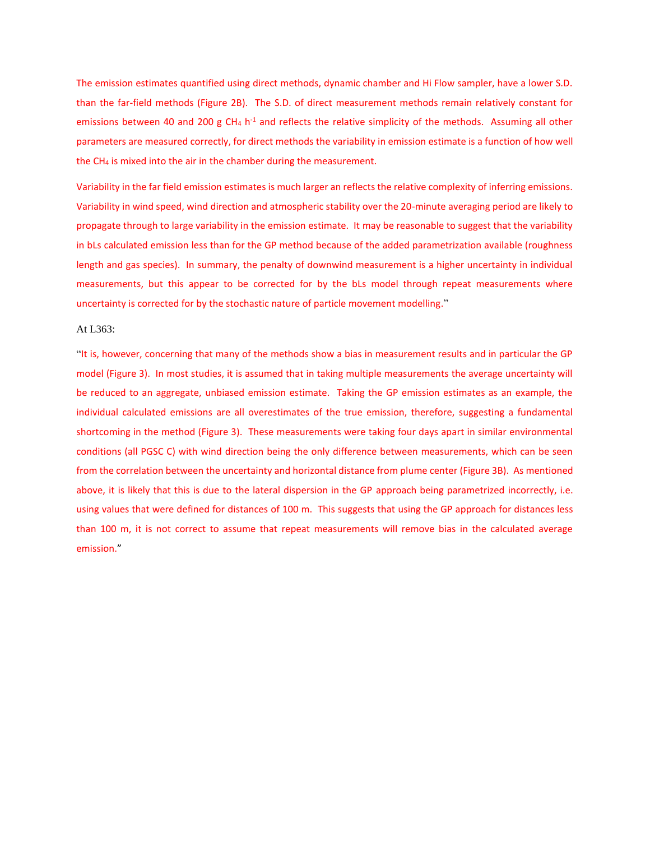The emission estimates quantified using direct methods, dynamic chamber and Hi Flow sampler, have a lower S.D. than the far-field methods (Figure 2B). The S.D. of direct measurement methods remain relatively constant for emissions between 40 and 200 g CH<sub>4</sub> h<sup>-1</sup> and reflects the relative simplicity of the methods. Assuming all other parameters are measured correctly, for direct methods the variability in emission estimate is a function of how well the CH<sup>4</sup> is mixed into the air in the chamber during the measurement.

Variability in the far field emission estimates is much larger an reflects the relative complexity of inferring emissions. Variability in wind speed, wind direction and atmospheric stability over the 20-minute averaging period are likely to propagate through to large variability in the emission estimate. It may be reasonable to suggest that the variability in bLs calculated emission less than for the GP method because of the added parametrization available (roughness length and gas species). In summary, the penalty of downwind measurement is a higher uncertainty in individual measurements, but this appear to be corrected for by the bLs model through repeat measurements where uncertainty is corrected for by the stochastic nature of particle movement modelling."

#### At L363:

"It is, however, concerning that many of the methods show a bias in measurement results and in particular the GP model (Figure 3). In most studies, it is assumed that in taking multiple measurements the average uncertainty will be reduced to an aggregate, unbiased emission estimate. Taking the GP emission estimates as an example, the individual calculated emissions are all overestimates of the true emission, therefore, suggesting a fundamental shortcoming in the method (Figure 3). These measurements were taking four days apart in similar environmental conditions (all PGSC C) with wind direction being the only difference between measurements, which can be seen from the correlation between the uncertainty and horizontal distance from plume center (Figure 3B). As mentioned above, it is likely that this is due to the lateral dispersion in the GP approach being parametrized incorrectly, i.e. using values that were defined for distances of 100 m. This suggests that using the GP approach for distances less than 100 m, it is not correct to assume that repeat measurements will remove bias in the calculated average emission."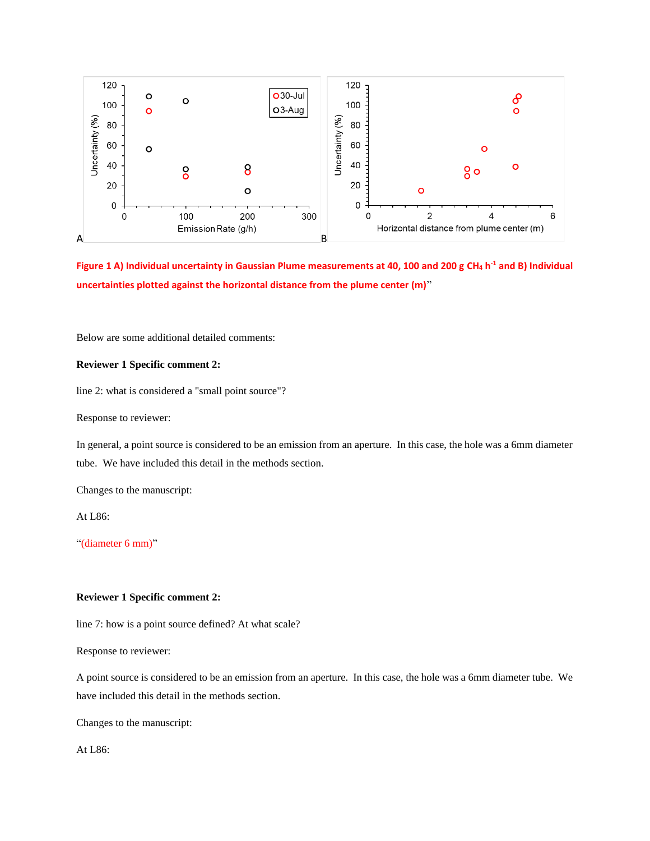

**Figure 1 A) Individual uncertainty in Gaussian Plume measurements at 40, 100 and 200 g CH<sup>4</sup> h -1 and B) Individual uncertainties plotted against the horizontal distance from the plume center (m)**"

Below are some additional detailed comments:

## **Reviewer 1 Specific comment 2:**

line 2: what is considered a "small point source"?

Response to reviewer:

In general, a point source is considered to be an emission from an aperture. In this case, the hole was a 6mm diameter tube. We have included this detail in the methods section.

Changes to the manuscript:

At L86:

"(diameter 6 mm)"

## **Reviewer 1 Specific comment 2:**

line 7: how is a point source defined? At what scale?

Response to reviewer:

A point source is considered to be an emission from an aperture. In this case, the hole was a 6mm diameter tube. We have included this detail in the methods section.

Changes to the manuscript:

At L86: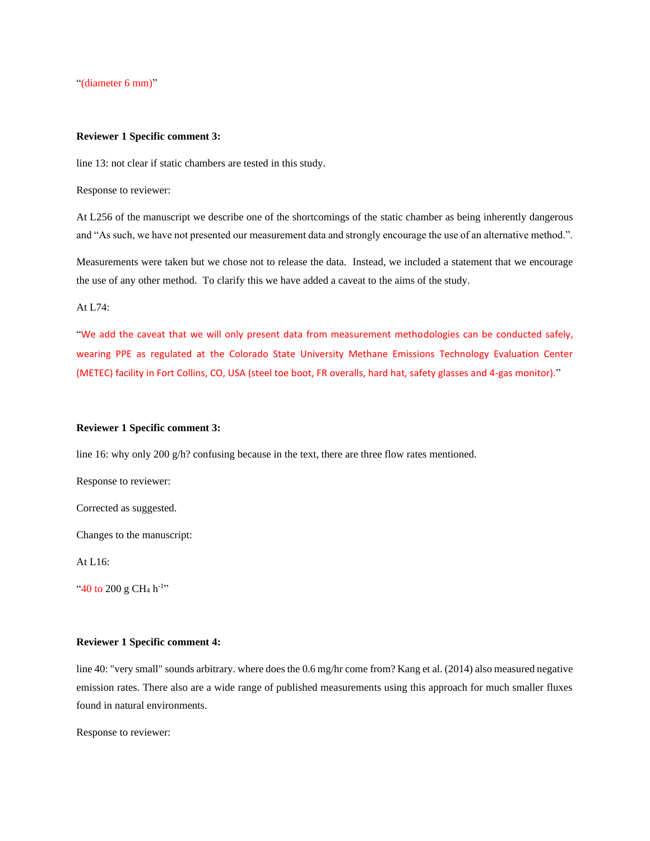"(diameter 6 mm)"

### **Reviewer 1 Specific comment 3:**

line 13: not clear if static chambers are tested in this study.

Response to reviewer:

At L256 of the manuscript we describe one of the shortcomings of the static chamber as being inherently dangerous and "As such, we have not presented our measurement data and strongly encourage the use of an alternative method.".

Measurements were taken but we chose not to release the data. Instead, we included a statement that we encourage the use of any other method. To clarify this we have added a caveat to the aims of the study.

At L74:

"We add the caveat that we will only present data from measurement methodologies can be conducted safely, wearing PPE as regulated at the Colorado State University Methane Emissions Technology Evaluation Center (METEC) facility in Fort Collins, CO, USA (steel toe boot, FR overalls, hard hat, safety glasses and 4-gas monitor)."

### **Reviewer 1 Specific comment 3:**

line 16: why only 200 g/h? confusing because in the text, there are three flow rates mentioned.

Response to reviewer:

Corrected as suggested.

Changes to the manuscript:

At L16:

"40 to 200 g CH<sub>4</sub> h<sup>-1</sup>"

## **Reviewer 1 Specific comment 4:**

line 40: "very small" sounds arbitrary. where does the 0.6 mg/hr come from? Kang et al. (2014) also measured negative emission rates. There also are a wide range of published measurements using this approach for much smaller fluxes found in natural environments.

Response to reviewer: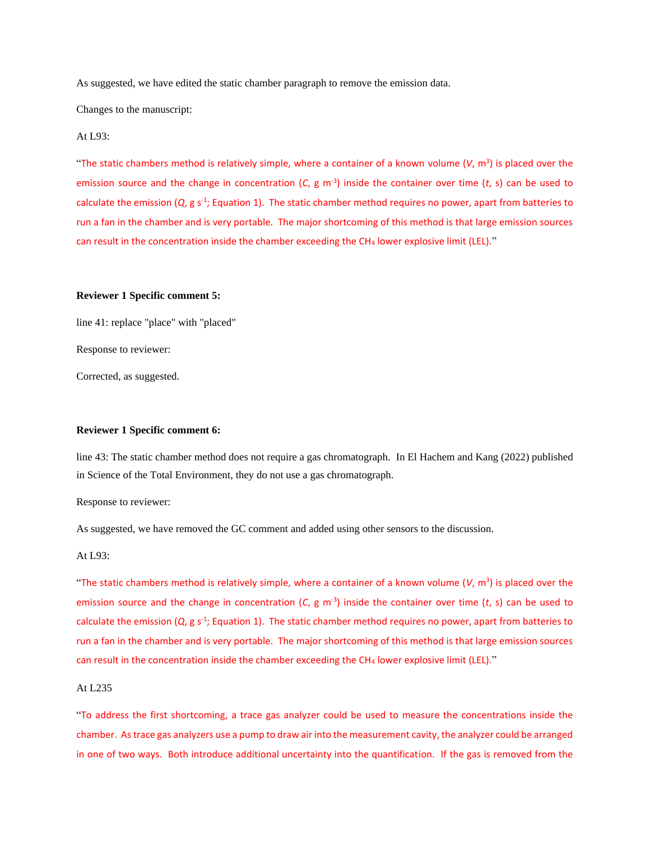As suggested, we have edited the static chamber paragraph to remove the emission data.

Changes to the manuscript:

## At L93:

"The static chambers method is relatively simple, where a container of a known volume  $(V, m^3)$  is placed over the emission source and the change in concentration  $(C, g m<sup>-3</sup>)$  inside the container over time  $(t, s)$  can be used to calculate the emission (Q, g s<sup>-1</sup>; Equation 1). The static chamber method requires no power, apart from batteries to run a fan in the chamber and is very portable. The major shortcoming of this method is that large emission sources can result in the concentration inside the chamber exceeding the CH<sup>4</sup> lower explosive limit (LEL)."

### **Reviewer 1 Specific comment 5:**

line 41: replace "place" with "placed" Response to reviewer:

Corrected, as suggested.

#### **Reviewer 1 Specific comment 6:**

line 43: The static chamber method does not require a gas chromatograph. In El Hachem and Kang (2022) published in Science of the Total Environment, they do not use a gas chromatograph.

Response to reviewer:

As suggested, we have removed the GC comment and added using other sensors to the discussion.

At L93:

"The static chambers method is relatively simple, where a container of a known volume  $(V, m^3)$  is placed over the emission source and the change in concentration  $(C, g m<sup>-3</sup>)$  inside the container over time  $(t, s)$  can be used to calculate the emission (Q, g s<sup>-1</sup>; Equation 1). The static chamber method requires no power, apart from batteries to run a fan in the chamber and is very portable. The major shortcoming of this method is that large emission sources can result in the concentration inside the chamber exceeding the CH<sub>4</sub> lower explosive limit (LEL)."

### At L235

"To address the first shortcoming, a trace gas analyzer could be used to measure the concentrations inside the chamber. As trace gas analyzers use a pump to draw air into the measurement cavity, the analyzer could be arranged in one of two ways. Both introduce additional uncertainty into the quantification. If the gas is removed from the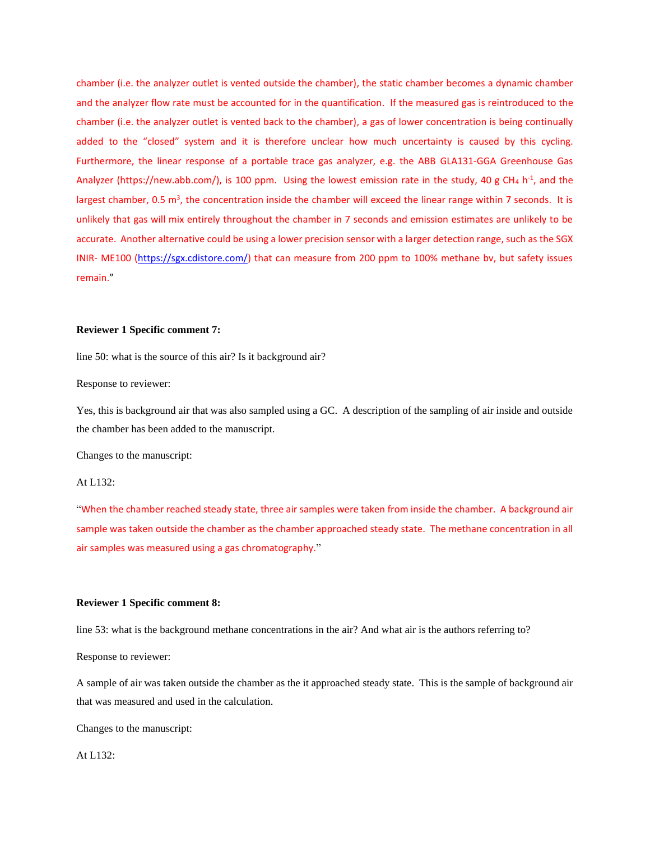chamber (i.e. the analyzer outlet is vented outside the chamber), the static chamber becomes a dynamic chamber and the analyzer flow rate must be accounted for in the quantification. If the measured gas is reintroduced to the chamber (i.e. the analyzer outlet is vented back to the chamber), a gas of lower concentration is being continually added to the "closed" system and it is therefore unclear how much uncertainty is caused by this cycling. Furthermore, the linear response of a portable trace gas analyzer, e.g. the ABB GLA131-GGA Greenhouse Gas Analyzer (https://new.abb.com/), is 100 ppm. Using the lowest emission rate in the study, 40 g CH<sub>4</sub> h<sup>-1</sup>, and the largest chamber, 0.5  $m^3$ , the concentration inside the chamber will exceed the linear range within 7 seconds. It is unlikely that gas will mix entirely throughout the chamber in 7 seconds and emission estimates are unlikely to be accurate. Another alternative could be using a lower precision sensor with a larger detection range, such as the SGX INIR- ME100 [\(https://sgx.cdistore.com/\)](https://sgx.cdistore.com/) that can measure from 200 ppm to 100% methane bv, but safety issues remain."

### **Reviewer 1 Specific comment 7:**

line 50: what is the source of this air? Is it background air?

Response to reviewer:

Yes, this is background air that was also sampled using a GC. A description of the sampling of air inside and outside the chamber has been added to the manuscript.

Changes to the manuscript:

#### At L132:

"When the chamber reached steady state, three air samples were taken from inside the chamber. A background air sample was taken outside the chamber as the chamber approached steady state. The methane concentration in all air samples was measured using a gas chromatography."

### **Reviewer 1 Specific comment 8:**

line 53: what is the background methane concentrations in the air? And what air is the authors referring to?

Response to reviewer:

A sample of air was taken outside the chamber as the it approached steady state. This is the sample of background air that was measured and used in the calculation.

Changes to the manuscript:

At L132: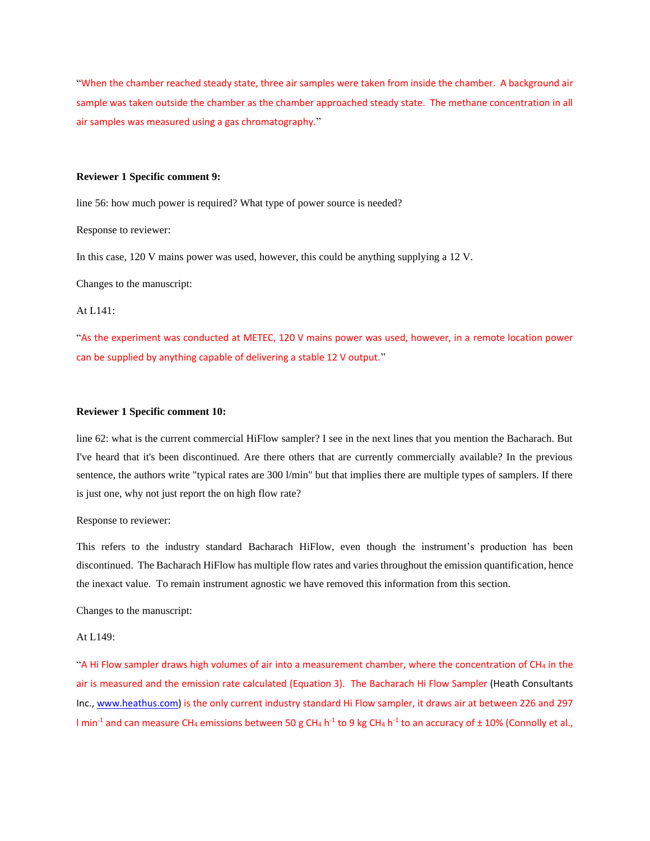"When the chamber reached steady state, three air samples were taken from inside the chamber. A background air sample was taken outside the chamber as the chamber approached steady state. The methane concentration in all air samples was measured using a gas chromatography."

### **Reviewer 1 Specific comment 9:**

line 56: how much power is required? What type of power source is needed?

Response to reviewer:

In this case, 120 V mains power was used, however, this could be anything supplying a 12 V.

Changes to the manuscript:

## At L141:

"As the experiment was conducted at METEC, 120 V mains power was used, however, in a remote location power can be supplied by anything capable of delivering a stable 12 V output."

### **Reviewer 1 Specific comment 10:**

line 62: what is the current commercial HiFlow sampler? I see in the next lines that you mention the Bacharach. But I've heard that it's been discontinued. Are there others that are currently commercially available? In the previous sentence, the authors write "typical rates are 300 l/min" but that implies there are multiple types of samplers. If there is just one, why not just report the on high flow rate?

Response to reviewer:

This refers to the industry standard Bacharach HiFlow, even though the instrument's production has been discontinued. The Bacharach HiFlow has multiple flow rates and varies throughout the emission quantification, hence the inexact value. To remain instrument agnostic we have removed this information from this section.

Changes to the manuscript:

## At L149:

"A Hi Flow sampler draws high volumes of air into a measurement chamber, where the concentration of CH<sup>4</sup> in the air is measured and the emission rate calculated (Equation 3). The Bacharach Hi Flow Sampler (Heath Consultants Inc.[, www.heathus.com\)](http://www.heathus.com/) is the only current industry standard Hi Flow sampler, it draws air at between 226 and 297 l min<sup>-1</sup> and can measure CH<sub>4</sub> emissions between 50 g CH<sub>4</sub> h<sup>-1</sup> to 9 kg CH<sub>4</sub> h<sup>-1</sup> to an accuracy of ± 10% (Connolly et al.,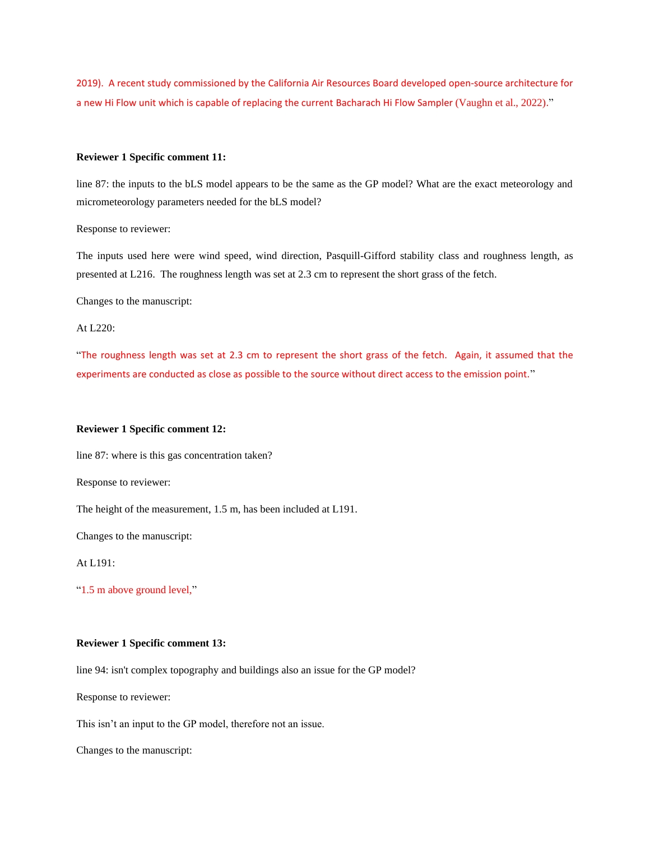2019). A recent study commissioned by the California Air Resources Board developed open-source architecture for a new Hi Flow unit which is capable of replacing the current Bacharach Hi Flow Sampler (Vaughn et al., 2022)."

## **Reviewer 1 Specific comment 11:**

line 87: the inputs to the bLS model appears to be the same as the GP model? What are the exact meteorology and micrometeorology parameters needed for the bLS model?

Response to reviewer:

The inputs used here were wind speed, wind direction, Pasquill-Gifford stability class and roughness length, as presented at L216. The roughness length was set at 2.3 cm to represent the short grass of the fetch.

Changes to the manuscript:

# At L220:

"The roughness length was set at 2.3 cm to represent the short grass of the fetch. Again, it assumed that the experiments are conducted as close as possible to the source without direct access to the emission point."

### **Reviewer 1 Specific comment 12:**

line 87: where is this gas concentration taken?

Response to reviewer:

The height of the measurement, 1.5 m, has been included at L191.

Changes to the manuscript:

At L191:

"1.5 m above ground level,"

# **Reviewer 1 Specific comment 13:**

line 94: isn't complex topography and buildings also an issue for the GP model?

Response to reviewer:

This isn't an input to the GP model, therefore not an issue.

Changes to the manuscript: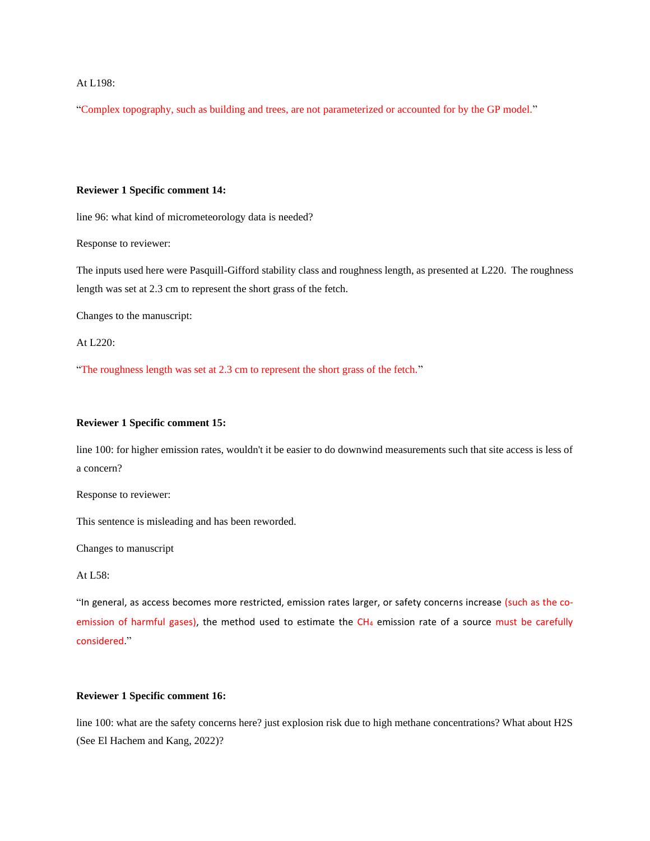## At L198:

"Complex topography, such as building and trees, are not parameterized or accounted for by the GP model."

### **Reviewer 1 Specific comment 14:**

line 96: what kind of micrometeorology data is needed?

Response to reviewer:

The inputs used here were Pasquill-Gifford stability class and roughness length, as presented at L220. The roughness length was set at 2.3 cm to represent the short grass of the fetch.

Changes to the manuscript:

At L220:

"The roughness length was set at 2.3 cm to represent the short grass of the fetch."

### **Reviewer 1 Specific comment 15:**

line 100: for higher emission rates, wouldn't it be easier to do downwind measurements such that site access is less of a concern?

Response to reviewer:

This sentence is misleading and has been reworded.

Changes to manuscript

At L58:

"In general, as access becomes more restricted, emission rates larger, or safety concerns increase (such as the coemission of harmful gases), the method used to estimate the CH<sub>4</sub> emission rate of a source must be carefully considered."

# **Reviewer 1 Specific comment 16:**

line 100: what are the safety concerns here? just explosion risk due to high methane concentrations? What about H2S (See El Hachem and Kang, 2022)?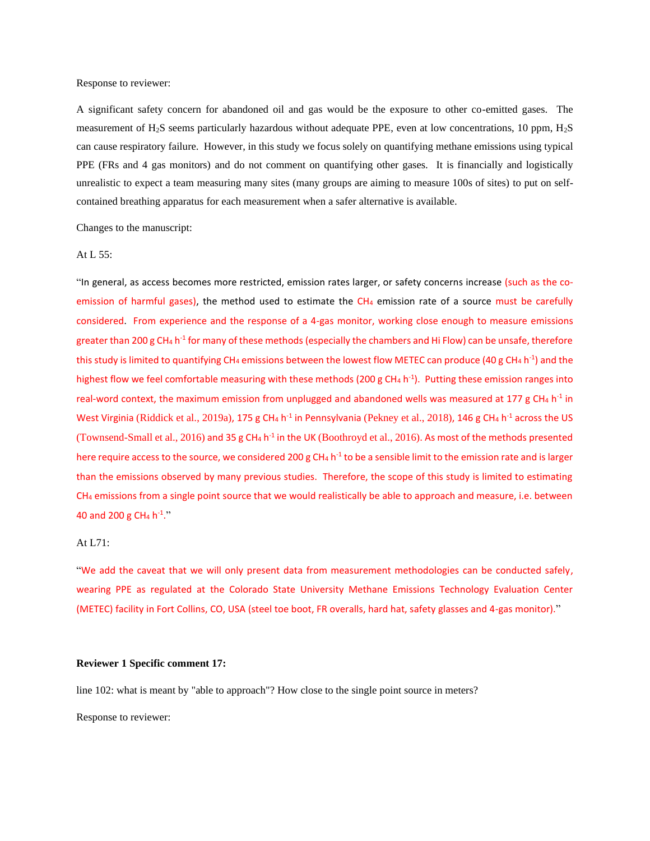Response to reviewer:

A significant safety concern for abandoned oil and gas would be the exposure to other co-emitted gases. The measurement of H2S seems particularly hazardous without adequate PPE, even at low concentrations, 10 ppm, H2S can cause respiratory failure. However, in this study we focus solely on quantifying methane emissions using typical PPE (FRs and 4 gas monitors) and do not comment on quantifying other gases. It is financially and logistically unrealistic to expect a team measuring many sites (many groups are aiming to measure 100s of sites) to put on selfcontained breathing apparatus for each measurement when a safer alternative is available.

Changes to the manuscript:

#### At L 55:

"In general, as access becomes more restricted, emission rates larger, or safety concerns increase (such as the coemission of harmful gases), the method used to estimate the CH<sub>4</sub> emission rate of a source must be carefully considered. From experience and the response of a 4-gas monitor, working close enough to measure emissions greater than 200 g CH<sub>4</sub> h<sup>-1</sup> for many of these methods (especially the chambers and Hi Flow) can be unsafe, therefore this study is limited to quantifying CH<sub>4</sub> emissions between the lowest flow METEC can produce (40 g CH<sub>4</sub> h<sup>-1</sup>) and the highest flow we feel comfortable measuring with these methods (200 g CH<sub>4</sub> h<sup>-1</sup>). Putting these emission ranges into real-word context, the maximum emission from unplugged and abandoned wells was measured at 177 g CH<sub>4</sub> h<sup>-1</sup> in West Virginia (Riddick et al., 2019a), 175 g CH<sub>4</sub> h<sup>-1</sup> in Pennsylvania (Pekney et al., 2018), 146 g CH<sub>4</sub> h<sup>-1</sup> across the US (Townsend-Small et al., 2016) and 35 g CH<sub>4</sub> h<sup>-1</sup> in the UK (Boothroyd et al., 2016). As most of the methods presented here require access to the source, we considered 200 g CH<sub>4</sub> h<sup>-1</sup> to be a sensible limit to the emission rate and is larger than the emissions observed by many previous studies. Therefore, the scope of this study is limited to estimating CH<sup>4</sup> emissions from a single point source that we would realistically be able to approach and measure, i.e. between 40 and 200 g CH<sub>4</sub> h<sup>-1</sup>."

# At L71:

"We add the caveat that we will only present data from measurement methodologies can be conducted safely, wearing PPE as regulated at the Colorado State University Methane Emissions Technology Evaluation Center (METEC) facility in Fort Collins, CO, USA (steel toe boot, FR overalls, hard hat, safety glasses and 4-gas monitor)."

#### **Reviewer 1 Specific comment 17:**

line 102: what is meant by "able to approach"? How close to the single point source in meters?

Response to reviewer: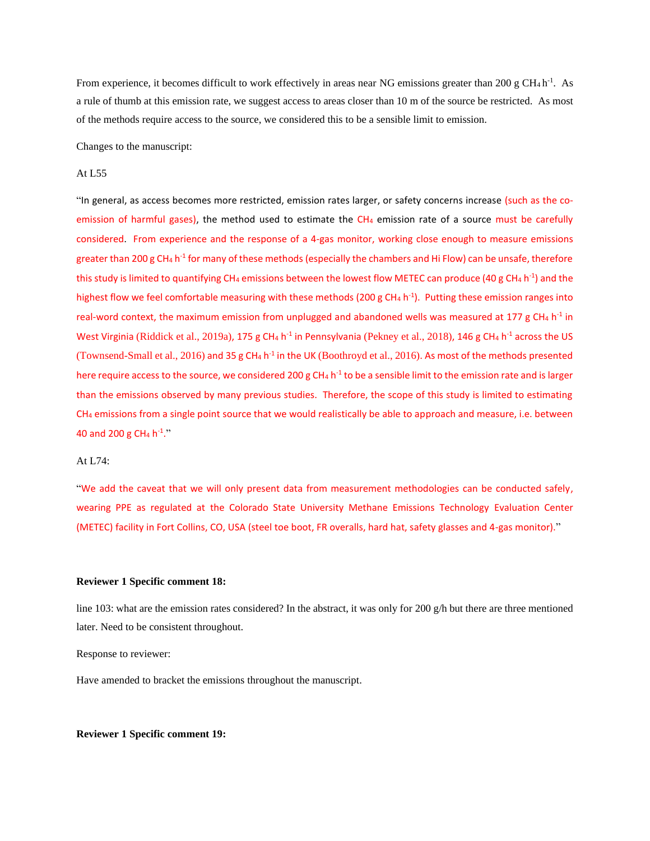From experience, it becomes difficult to work effectively in areas near NG emissions greater than 200 g CH<sub>4</sub> h<sup>-1</sup>. As a rule of thumb at this emission rate, we suggest access to areas closer than 10 m of the source be restricted. As most of the methods require access to the source, we considered this to be a sensible limit to emission.

Changes to the manuscript:

### At L55

"In general, as access becomes more restricted, emission rates larger, or safety concerns increase (such as the coemission of harmful gases), the method used to estimate the  $CH<sub>4</sub>$  emission rate of a source must be carefully considered. From experience and the response of a 4-gas monitor, working close enough to measure emissions greater than 200 g CH<sub>4</sub> h<sup>-1</sup> for many of these methods (especially the chambers and Hi Flow) can be unsafe, therefore this study is limited to quantifying CH<sub>4</sub> emissions between the lowest flow METEC can produce (40 g CH<sub>4</sub> h<sup>-1</sup>) and the highest flow we feel comfortable measuring with these methods (200 g CH<sub>4</sub> h<sup>-1</sup>). Putting these emission ranges into real-word context, the maximum emission from unplugged and abandoned wells was measured at 177 g CH<sub>4</sub> h<sup>-1</sup> in West Virginia (Riddick et al., 2019a), 175 g CH<sub>4</sub> h<sup>-1</sup> in Pennsylvania (Pekney et al., 2018), 146 g CH<sub>4</sub> h<sup>-1</sup> across the US (Townsend-Small et al., 2016) and 35 g CH<sub>4</sub> h<sup>-1</sup> in the UK (Boothroyd et al., 2016). As most of the methods presented here require access to the source, we considered 200 g CH<sub>4</sub> h<sup>-1</sup> to be a sensible limit to the emission rate and is larger than the emissions observed by many previous studies. Therefore, the scope of this study is limited to estimating CH<sup>4</sup> emissions from a single point source that we would realistically be able to approach and measure, i.e. between 40 and 200 g CH<sub>4</sub> h<sup>-1</sup>."

# At L74:

"We add the caveat that we will only present data from measurement methodologies can be conducted safely, wearing PPE as regulated at the Colorado State University Methane Emissions Technology Evaluation Center (METEC) facility in Fort Collins, CO, USA (steel toe boot, FR overalls, hard hat, safety glasses and 4-gas monitor)."

### **Reviewer 1 Specific comment 18:**

line 103: what are the emission rates considered? In the abstract, it was only for 200  $g/h$  but there are three mentioned later. Need to be consistent throughout.

Response to reviewer:

Have amended to bracket the emissions throughout the manuscript.

## **Reviewer 1 Specific comment 19:**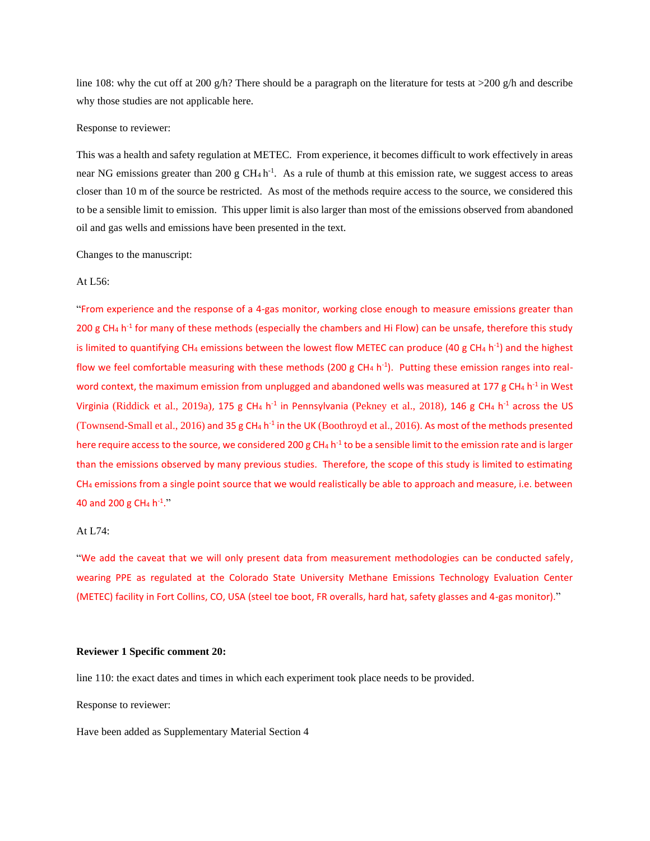line 108: why the cut off at 200 g/h? There should be a paragraph on the literature for tests at  $>200$  g/h and describe why those studies are not applicable here.

### Response to reviewer:

This was a health and safety regulation at METEC. From experience, it becomes difficult to work effectively in areas near NG emissions greater than 200 g  $CH_4 h^{-1}$ . As a rule of thumb at this emission rate, we suggest access to areas closer than 10 m of the source be restricted. As most of the methods require access to the source, we considered this to be a sensible limit to emission. This upper limit is also larger than most of the emissions observed from abandoned oil and gas wells and emissions have been presented in the text.

Changes to the manuscript:

## At L56:

"From experience and the response of a 4-gas monitor, working close enough to measure emissions greater than 200 g CH<sub>4</sub> h<sup>-1</sup> for many of these methods (especially the chambers and Hi Flow) can be unsafe, therefore this study is limited to quantifying CH<sub>4</sub> emissions between the lowest flow METEC can produce (40 g CH<sub>4</sub> h<sup>-1</sup>) and the highest flow we feel comfortable measuring with these methods (200 g CH<sub>4</sub> h<sup>-1</sup>). Putting these emission ranges into realword context, the maximum emission from unplugged and abandoned wells was measured at 177 g CH<sub>4</sub> h<sup>-1</sup> in West Virginia (Riddick et al., 2019a), 175 g CH<sub>4</sub> h<sup>-1</sup> in Pennsylvania (Pekney et al., 2018), 146 g CH<sub>4</sub> h<sup>-1</sup> across the US (Townsend-Small et al., 2016) and 35 g CH<sub>4</sub> h<sup>-1</sup> in the UK (Boothroyd et al., 2016). As most of the methods presented here require access to the source, we considered 200 g CH<sub>4</sub> h<sup>-1</sup> to be a sensible limit to the emission rate and is larger than the emissions observed by many previous studies. Therefore, the scope of this study is limited to estimating CH<sup>4</sup> emissions from a single point source that we would realistically be able to approach and measure, i.e. between 40 and 200 g CH<sub>4</sub> h<sup>-1</sup>."

## At L74:

"We add the caveat that we will only present data from measurement methodologies can be conducted safely, wearing PPE as regulated at the Colorado State University Methane Emissions Technology Evaluation Center (METEC) facility in Fort Collins, CO, USA (steel toe boot, FR overalls, hard hat, safety glasses and 4-gas monitor)."

### **Reviewer 1 Specific comment 20:**

line 110: the exact dates and times in which each experiment took place needs to be provided.

Response to reviewer:

Have been added as Supplementary Material Section 4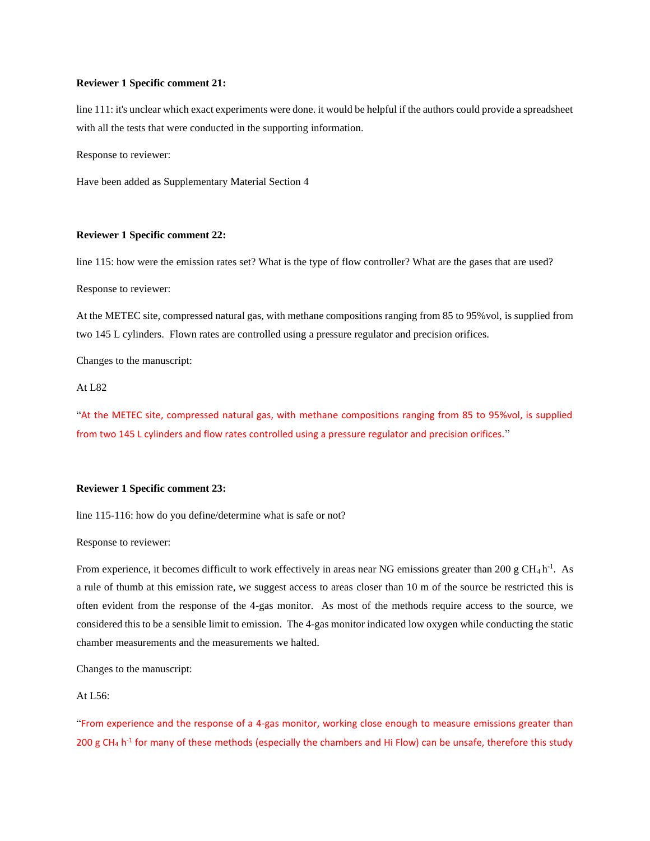### **Reviewer 1 Specific comment 21:**

line 111: it's unclear which exact experiments were done. it would be helpful if the authors could provide a spreadsheet with all the tests that were conducted in the supporting information.

Response to reviewer:

Have been added as Supplementary Material Section 4

### **Reviewer 1 Specific comment 22:**

line 115: how were the emission rates set? What is the type of flow controller? What are the gases that are used?

Response to reviewer:

At the METEC site, compressed natural gas, with methane compositions ranging from 85 to 95%vol, is supplied from two 145 L cylinders. Flown rates are controlled using a pressure regulator and precision orifices.

Changes to the manuscript:

At L82

"At the METEC site, compressed natural gas, with methane compositions ranging from 85 to 95%vol, is supplied from two 145 L cylinders and flow rates controlled using a pressure regulator and precision orifices."

## **Reviewer 1 Specific comment 23:**

line 115-116: how do you define/determine what is safe or not?

Response to reviewer:

From experience, it becomes difficult to work effectively in areas near NG emissions greater than 200 g  $CH_4$ h<sup>-1</sup>. As a rule of thumb at this emission rate, we suggest access to areas closer than 10 m of the source be restricted this is often evident from the response of the 4-gas monitor. As most of the methods require access to the source, we considered this to be a sensible limit to emission. The 4-gas monitor indicated low oxygen while conducting the static chamber measurements and the measurements we halted.

Changes to the manuscript:

# At L56:

"From experience and the response of a 4-gas monitor, working close enough to measure emissions greater than 200 g CH<sub>4</sub> h<sup>-1</sup> for many of these methods (especially the chambers and Hi Flow) can be unsafe, therefore this study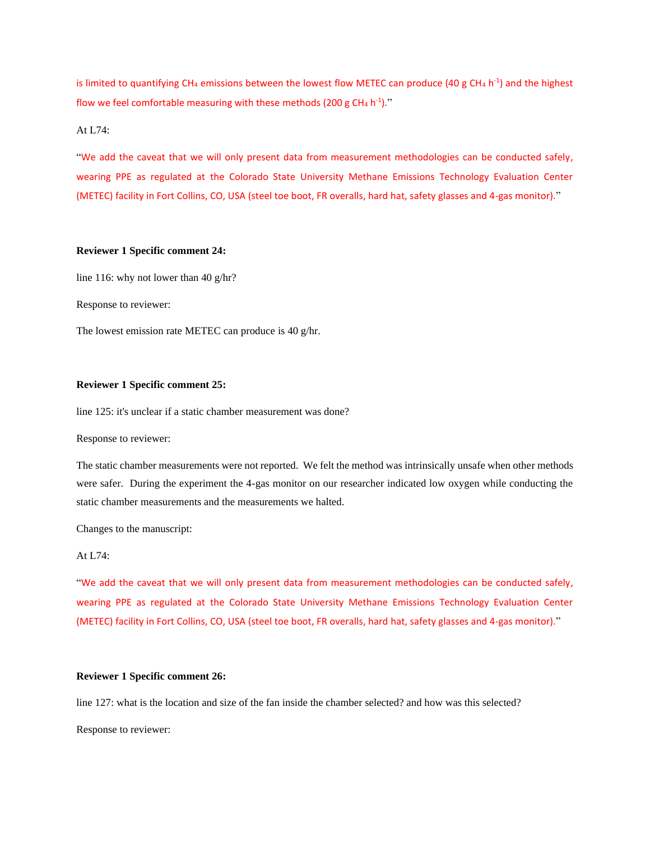is limited to quantifying CH<sub>4</sub> emissions between the lowest flow METEC can produce (40 g CH<sub>4</sub> h<sup>-1</sup>) and the highest flow we feel comfortable measuring with these methods (200 g CH<sub>4</sub> h<sup>-1</sup>)."

# At L74:

"We add the caveat that we will only present data from measurement methodologies can be conducted safely, wearing PPE as regulated at the Colorado State University Methane Emissions Technology Evaluation Center (METEC) facility in Fort Collins, CO, USA (steel toe boot, FR overalls, hard hat, safety glasses and 4-gas monitor)."

## **Reviewer 1 Specific comment 24:**

line 116: why not lower than 40 g/hr?

Response to reviewer:

The lowest emission rate METEC can produce is 40 g/hr.

## **Reviewer 1 Specific comment 25:**

line 125: it's unclear if a static chamber measurement was done?

Response to reviewer:

The static chamber measurements were not reported. We felt the method was intrinsically unsafe when other methods were safer. During the experiment the 4-gas monitor on our researcher indicated low oxygen while conducting the static chamber measurements and the measurements we halted.

Changes to the manuscript:

# At L74:

"We add the caveat that we will only present data from measurement methodologies can be conducted safely, wearing PPE as regulated at the Colorado State University Methane Emissions Technology Evaluation Center (METEC) facility in Fort Collins, CO, USA (steel toe boot, FR overalls, hard hat, safety glasses and 4-gas monitor)."

#### **Reviewer 1 Specific comment 26:**

line 127: what is the location and size of the fan inside the chamber selected? and how was this selected? Response to reviewer: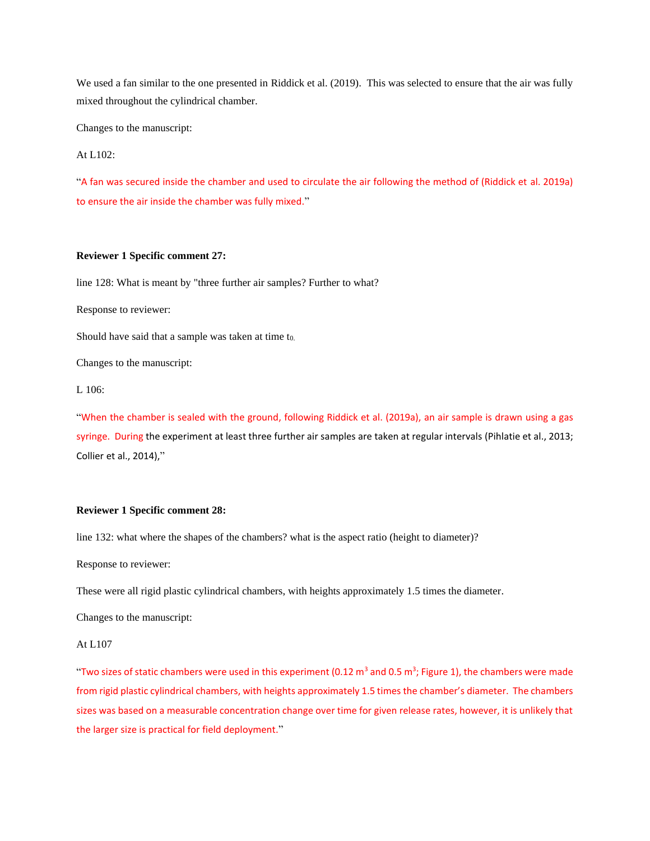We used a fan similar to the one presented in Riddick et al. (2019). This was selected to ensure that the air was fully mixed throughout the cylindrical chamber.

Changes to the manuscript:

At L102:

"A fan was secured inside the chamber and used to circulate the air following the method of (Riddick et al. 2019a) to ensure the air inside the chamber was fully mixed."

## **Reviewer 1 Specific comment 27:**

line 128: What is meant by "three further air samples? Further to what?

Response to reviewer:

Should have said that a sample was taken at time  $t_{0}$ .

Changes to the manuscript:

L 106:

"When the chamber is sealed with the ground, following Riddick et al. (2019a), an air sample is drawn using a gas syringe. During the experiment at least three further air samples are taken at regular intervals (Pihlatie et al., 2013; Collier et al., 2014),"

### **Reviewer 1 Specific comment 28:**

line 132: what where the shapes of the chambers? what is the aspect ratio (height to diameter)?

Response to reviewer:

These were all rigid plastic cylindrical chambers, with heights approximately 1.5 times the diameter.

Changes to the manuscript:

#### At L107

"Two sizes of static chambers were used in this experiment (0.12 m<sup>3</sup> and 0.5 m<sup>3</sup>; Figure 1), the chambers were made from rigid plastic cylindrical chambers, with heights approximately 1.5 times the chamber's diameter. The chambers sizes was based on a measurable concentration change over time for given release rates, however, it is unlikely that the larger size is practical for field deployment."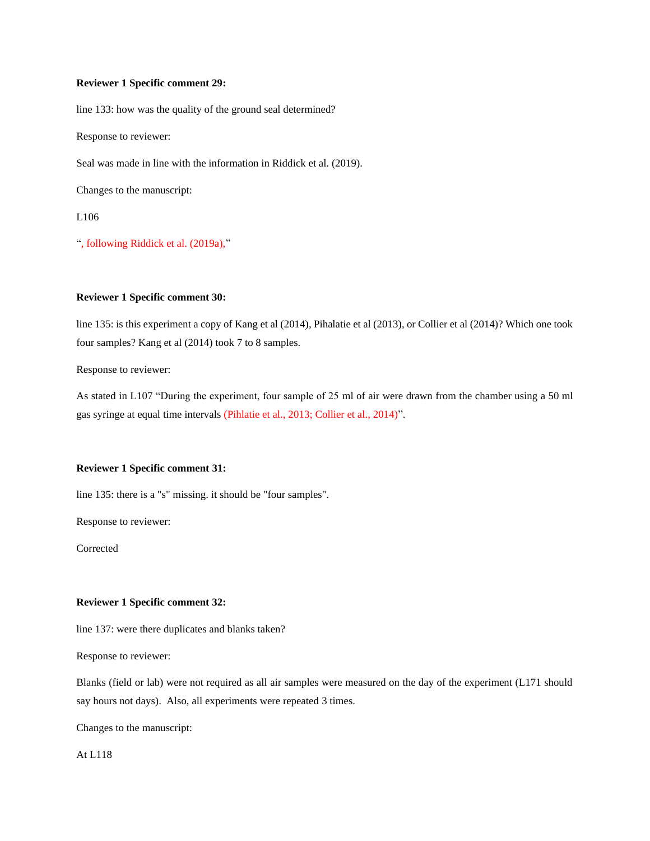## **Reviewer 1 Specific comment 29:**

line 133: how was the quality of the ground seal determined?

Response to reviewer:

Seal was made in line with the information in Riddick et al. (2019).

Changes to the manuscript:

L106

", following Riddick et al. (2019a),"

# **Reviewer 1 Specific comment 30:**

line 135: is this experiment a copy of Kang et al (2014), Pihalatie et al (2013), or Collier et al (2014)? Which one took four samples? Kang et al (2014) took 7 to 8 samples.

Response to reviewer:

As stated in L107 "During the experiment, four sample of 25 ml of air were drawn from the chamber using a 50 ml gas syringe at equal time intervals (Pihlatie et al., 2013; Collier et al., 2014)".

# **Reviewer 1 Specific comment 31:**

line 135: there is a "s" missing. it should be "four samples".

Response to reviewer:

Corrected

# **Reviewer 1 Specific comment 32:**

line 137: were there duplicates and blanks taken?

Response to reviewer:

Blanks (field or lab) were not required as all air samples were measured on the day of the experiment (L171 should say hours not days). Also, all experiments were repeated 3 times.

Changes to the manuscript:

At L118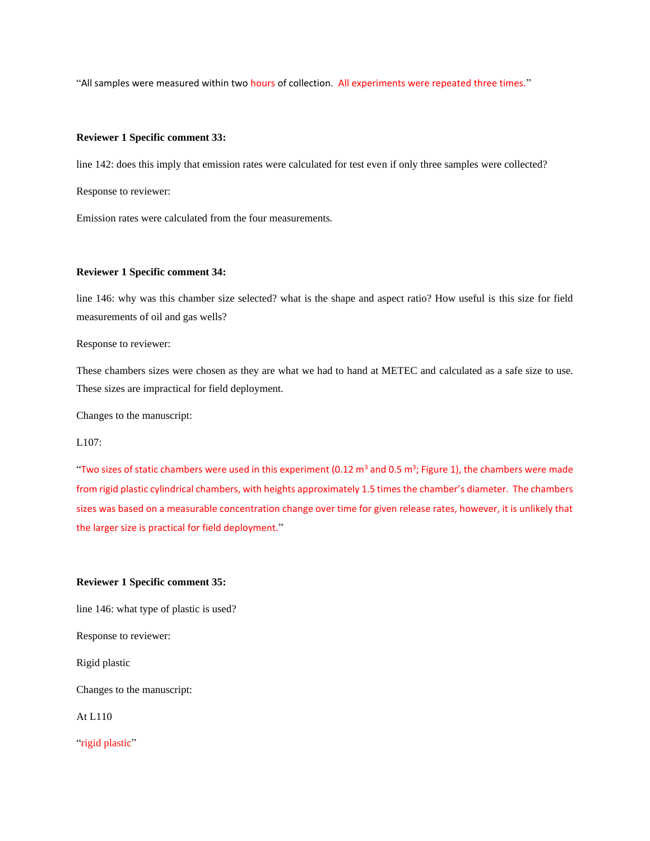"All samples were measured within two hours of collection. All experiments were repeated three times."

### **Reviewer 1 Specific comment 33:**

line 142: does this imply that emission rates were calculated for test even if only three samples were collected?

Response to reviewer:

Emission rates were calculated from the four measurements.

### **Reviewer 1 Specific comment 34:**

line 146: why was this chamber size selected? what is the shape and aspect ratio? How useful is this size for field measurements of oil and gas wells?

Response to reviewer:

These chambers sizes were chosen as they are what we had to hand at METEC and calculated as a safe size to use. These sizes are impractical for field deployment.

Changes to the manuscript:

## L<sub>107</sub>:

"Two sizes of static chambers were used in this experiment (0.12 m<sup>3</sup> and 0.5 m<sup>3</sup>; Figure 1), the chambers were made from rigid plastic cylindrical chambers, with heights approximately 1.5 times the chamber's diameter. The chambers sizes was based on a measurable concentration change over time for given release rates, however, it is unlikely that the larger size is practical for field deployment."

### **Reviewer 1 Specific comment 35:**

line 146: what type of plastic is used?

Response to reviewer:

Rigid plastic

Changes to the manuscript:

At L110

"rigid plastic"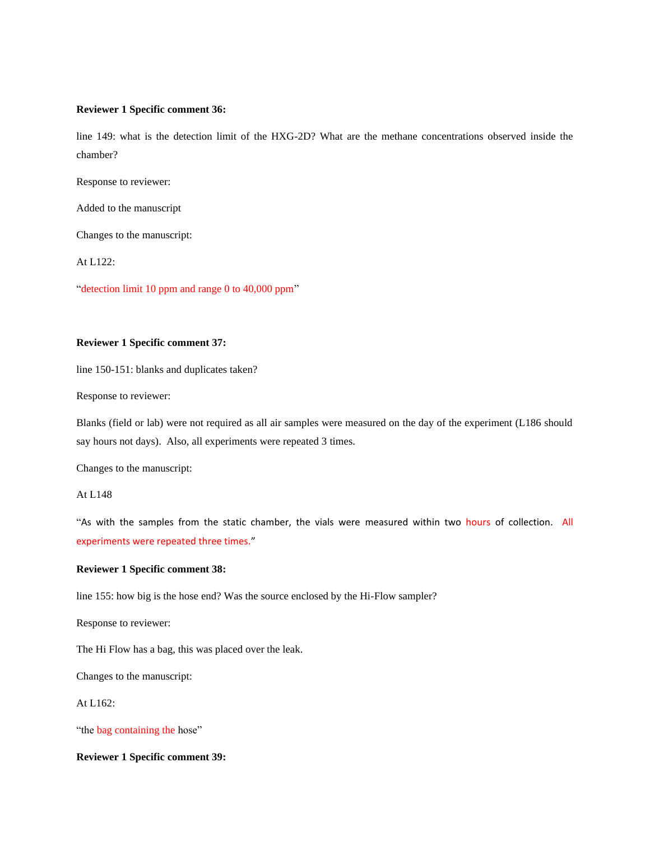### **Reviewer 1 Specific comment 36:**

line 149: what is the detection limit of the HXG-2D? What are the methane concentrations observed inside the chamber?

Response to reviewer:

Added to the manuscript

Changes to the manuscript:

At L122:

"detection limit 10 ppm and range 0 to 40,000 ppm"

## **Reviewer 1 Specific comment 37:**

line 150-151: blanks and duplicates taken?

Response to reviewer:

Blanks (field or lab) were not required as all air samples were measured on the day of the experiment (L186 should say hours not days). Also, all experiments were repeated 3 times.

Changes to the manuscript:

# At L148

"As with the samples from the static chamber, the vials were measured within two hours of collection. All experiments were repeated three times."

### **Reviewer 1 Specific comment 38:**

line 155: how big is the hose end? Was the source enclosed by the Hi-Flow sampler?

Response to reviewer:

The Hi Flow has a bag, this was placed over the leak.

Changes to the manuscript:

# At L162:

"the bag containing the hose"

## **Reviewer 1 Specific comment 39:**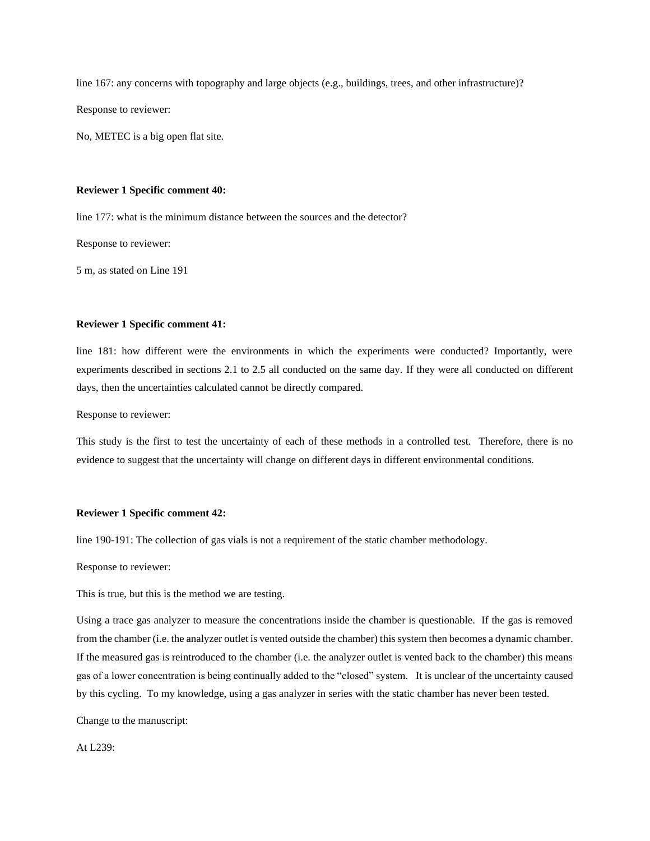line 167: any concerns with topography and large objects (e.g., buildings, trees, and other infrastructure)? Response to reviewer:

No, METEC is a big open flat site.

### **Reviewer 1 Specific comment 40:**

line 177: what is the minimum distance between the sources and the detector?

Response to reviewer:

5 m, as stated on Line 191

#### **Reviewer 1 Specific comment 41:**

line 181: how different were the environments in which the experiments were conducted? Importantly, were experiments described in sections 2.1 to 2.5 all conducted on the same day. If they were all conducted on different days, then the uncertainties calculated cannot be directly compared.

Response to reviewer:

This study is the first to test the uncertainty of each of these methods in a controlled test. Therefore, there is no evidence to suggest that the uncertainty will change on different days in different environmental conditions.

## **Reviewer 1 Specific comment 42:**

line 190-191: The collection of gas vials is not a requirement of the static chamber methodology.

Response to reviewer:

This is true, but this is the method we are testing.

Using a trace gas analyzer to measure the concentrations inside the chamber is questionable. If the gas is removed from the chamber (i.e. the analyzer outlet is vented outside the chamber) this system then becomes a dynamic chamber. If the measured gas is reintroduced to the chamber (i.e. the analyzer outlet is vented back to the chamber) this means gas of a lower concentration is being continually added to the "closed" system. It is unclear of the uncertainty caused by this cycling. To my knowledge, using a gas analyzer in series with the static chamber has never been tested.

Change to the manuscript:

# At L239: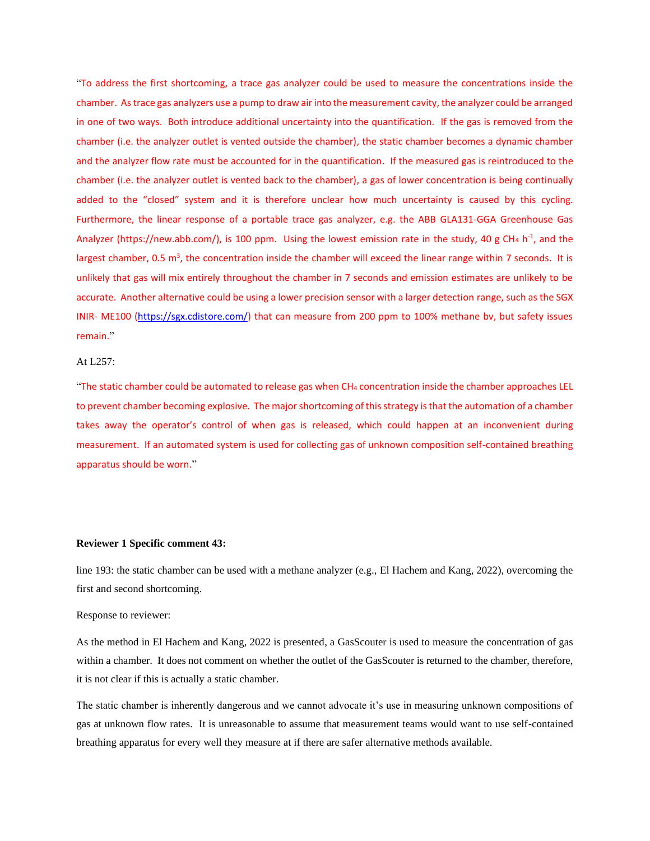"To address the first shortcoming, a trace gas analyzer could be used to measure the concentrations inside the chamber. As trace gas analyzers use a pump to draw air into the measurement cavity, the analyzer could be arranged in one of two ways. Both introduce additional uncertainty into the quantification. If the gas is removed from the chamber (i.e. the analyzer outlet is vented outside the chamber), the static chamber becomes a dynamic chamber and the analyzer flow rate must be accounted for in the quantification. If the measured gas is reintroduced to the chamber (i.e. the analyzer outlet is vented back to the chamber), a gas of lower concentration is being continually added to the "closed" system and it is therefore unclear how much uncertainty is caused by this cycling. Furthermore, the linear response of a portable trace gas analyzer, e.g. the ABB GLA131-GGA Greenhouse Gas Analyzer (https://new.abb.com/), is 100 ppm. Using the lowest emission rate in the study, 40 g CH<sub>4</sub> h<sup>-1</sup>, and the largest chamber, 0.5 m<sup>3</sup>, the concentration inside the chamber will exceed the linear range within 7 seconds. It is unlikely that gas will mix entirely throughout the chamber in 7 seconds and emission estimates are unlikely to be accurate. Another alternative could be using a lower precision sensor with a larger detection range, such as the SGX INIR- ME100 [\(https://sgx.cdistore.com/\)](https://sgx.cdistore.com/) that can measure from 200 ppm to 100% methane bv, but safety issues remain."

#### At L257:

"The static chamber could be automated to release gas when CH<sup>4</sup> concentration inside the chamber approaches LEL to prevent chamber becoming explosive. The major shortcoming of this strategy is that the automation of a chamber takes away the operator's control of when gas is released, which could happen at an inconvenient during measurement. If an automated system is used for collecting gas of unknown composition self-contained breathing apparatus should be worn."

#### **Reviewer 1 Specific comment 43:**

line 193: the static chamber can be used with a methane analyzer (e.g., El Hachem and Kang, 2022), overcoming the first and second shortcoming.

## Response to reviewer:

As the method in El Hachem and Kang, 2022 is presented, a GasScouter is used to measure the concentration of gas within a chamber. It does not comment on whether the outlet of the GasScouter is returned to the chamber, therefore, it is not clear if this is actually a static chamber.

The static chamber is inherently dangerous and we cannot advocate it's use in measuring unknown compositions of gas at unknown flow rates. It is unreasonable to assume that measurement teams would want to use self-contained breathing apparatus for every well they measure at if there are safer alternative methods available.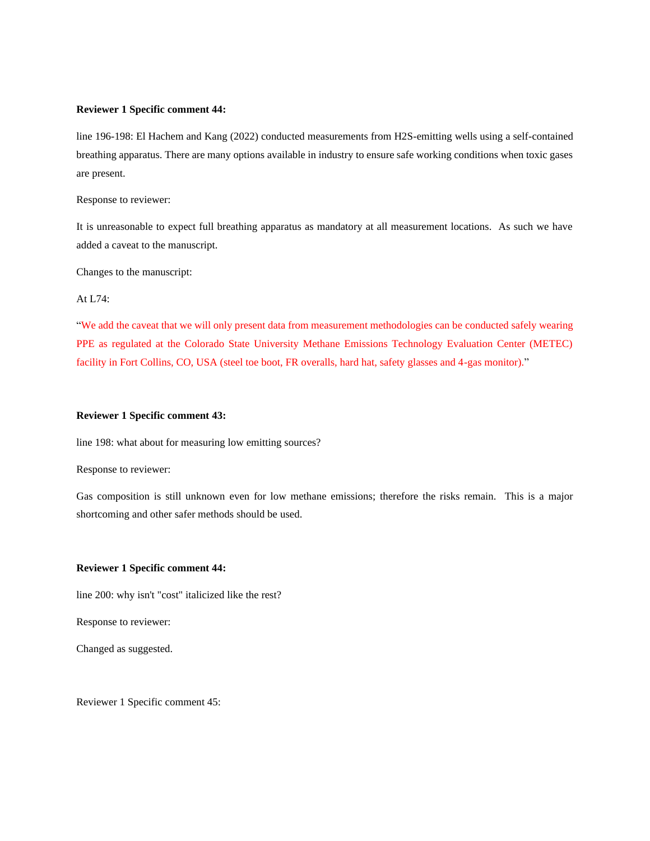### **Reviewer 1 Specific comment 44:**

line 196-198: El Hachem and Kang (2022) conducted measurements from H2S-emitting wells using a self-contained breathing apparatus. There are many options available in industry to ensure safe working conditions when toxic gases are present.

Response to reviewer:

It is unreasonable to expect full breathing apparatus as mandatory at all measurement locations. As such we have added a caveat to the manuscript.

Changes to the manuscript:

At L74:

"We add the caveat that we will only present data from measurement methodologies can be conducted safely wearing PPE as regulated at the Colorado State University Methane Emissions Technology Evaluation Center (METEC) facility in Fort Collins, CO, USA (steel toe boot, FR overalls, hard hat, safety glasses and 4-gas monitor)."

# **Reviewer 1 Specific comment 43:**

line 198: what about for measuring low emitting sources?

Response to reviewer:

Gas composition is still unknown even for low methane emissions; therefore the risks remain. This is a major shortcoming and other safer methods should be used.

#### **Reviewer 1 Specific comment 44:**

line 200: why isn't "cost" italicized like the rest?

Response to reviewer:

Changed as suggested.

Reviewer 1 Specific comment 45: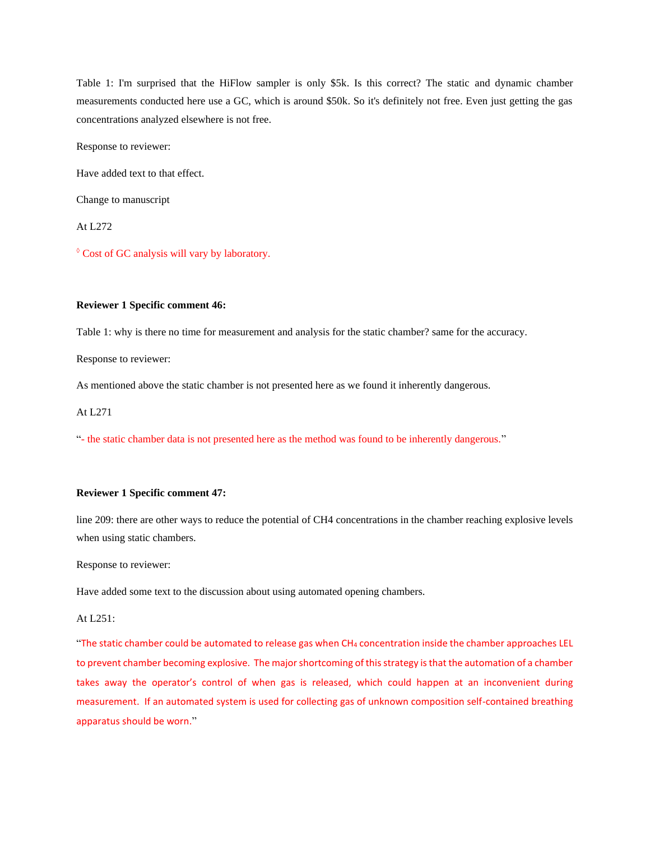Table 1: I'm surprised that the HiFlow sampler is only \$5k. Is this correct? The static and dynamic chamber measurements conducted here use a GC, which is around \$50k. So it's definitely not free. Even just getting the gas concentrations analyzed elsewhere is not free.

Response to reviewer:

Have added text to that effect.

Change to manuscript

At L272

◊ Cost of GC analysis will vary by laboratory.

### **Reviewer 1 Specific comment 46:**

Table 1: why is there no time for measurement and analysis for the static chamber? same for the accuracy.

Response to reviewer:

As mentioned above the static chamber is not presented here as we found it inherently dangerous.

At L271

"- the static chamber data is not presented here as the method was found to be inherently dangerous."

### **Reviewer 1 Specific comment 47:**

line 209: there are other ways to reduce the potential of CH4 concentrations in the chamber reaching explosive levels when using static chambers.

Response to reviewer:

Have added some text to the discussion about using automated opening chambers.

## At L251:

"The static chamber could be automated to release gas when CH<sup>4</sup> concentration inside the chamber approaches LEL to prevent chamber becoming explosive. The major shortcoming of this strategy is that the automation of a chamber takes away the operator's control of when gas is released, which could happen at an inconvenient during measurement. If an automated system is used for collecting gas of unknown composition self-contained breathing apparatus should be worn."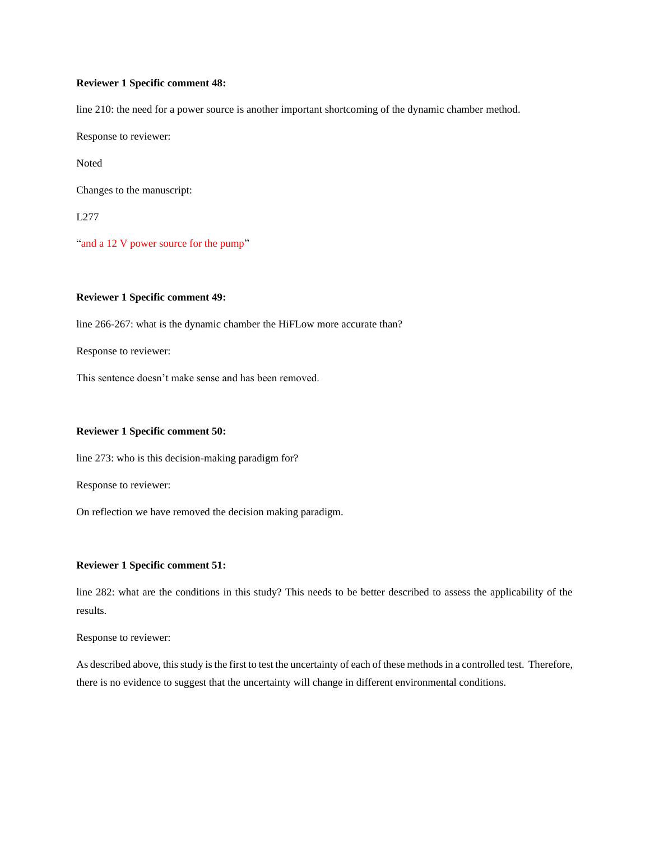## **Reviewer 1 Specific comment 48:**

line 210: the need for a power source is another important shortcoming of the dynamic chamber method.

Response to reviewer:

Noted

Changes to the manuscript:

L277

"and a 12 V power source for the pump"

# **Reviewer 1 Specific comment 49:**

line 266-267: what is the dynamic chamber the HiFLow more accurate than?

Response to reviewer:

This sentence doesn't make sense and has been removed.

## **Reviewer 1 Specific comment 50:**

line 273: who is this decision-making paradigm for?

Response to reviewer:

On reflection we have removed the decision making paradigm.

### **Reviewer 1 Specific comment 51:**

line 282: what are the conditions in this study? This needs to be better described to assess the applicability of the results.

Response to reviewer:

As described above, this study is the first to test the uncertainty of each of these methods in a controlled test. Therefore, there is no evidence to suggest that the uncertainty will change in different environmental conditions.